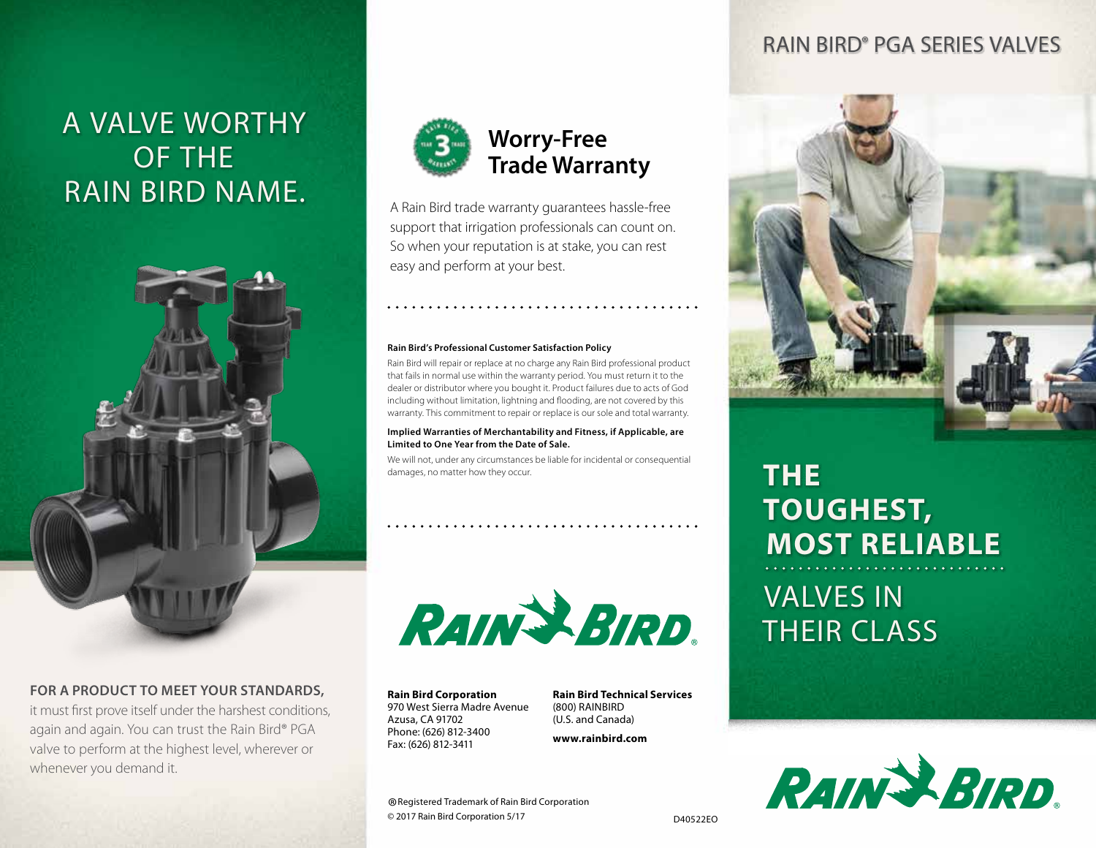## A valve worthy of the Rain bird Name.



#### **FOR A PRODUCT TO MEET YOUR STANDARDS,**

it must first prove itself under the harshest conditions, again and again. You can trust the Rain Bird® PGA valve to perform at the highest level, wherever or whenever you demand it.



### **Worry-Free Trade Warranty**

A Rain Bird trade warranty guarantees hassle‑free support that irrigation professionals can count on. So when your reputation is at stake, you can rest easy and perform at your best.

#### **Rain Bird's Professional Customer Satisfaction Policy**

Rain Bird will repair or replace at no charge any Rain Bird professional product that fails in normal use within the warranty period. You must return it to the dealer or distributor where you bought it. Product failures due to acts of God including without limitation, lightning and flooding, are not covered by this warranty. This commitment to repair or replace is our sole and total warranty.

#### **Implied Warranties of Merchantability and Fitness, if Applicable, are Limited to One Year from the Date of Sale.**

We will not, under any circumstances be liable for incidental or consequential damages, no matter how they occur.



**Rain Bird Corporation** 970 West Sierra Madre Avenue Azusa, CA 91702 Phone: (626) 812-3400 Fax: (626) 812-3411

**Rain Bird Technical Services** (800) RAINBIRD (U.S. and Canada)

**www.rainbird.com**

### Rain Bird® PGA Series Valves



# **The Toughest, Most Reliable**

## Valves In **THEIR CLASS**



® Registered Trademark of Rain Bird Corporation<br>© 2017 Rain Bird Corporation 5/17 © 2017 Rain Bird Corporation 5/17